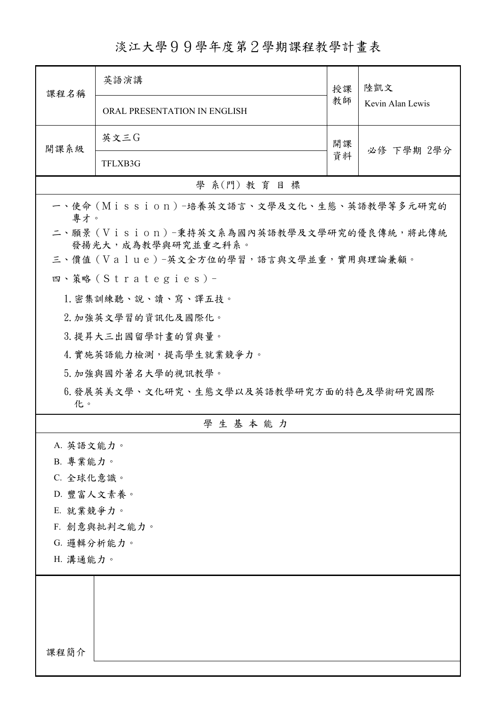淡江大學99學年度第2學期課程教學計畫表

| 課程名稱                                                            | 英語演講                                       | 授課 | 陸凱文              |  |
|-----------------------------------------------------------------|--------------------------------------------|----|------------------|--|
|                                                                 | ORAL PRESENTATION IN ENGLISH               | 教師 | Kevin Alan Lewis |  |
| 開課系級                                                            | 英文三G                                       | 開課 | 必修 下學期 2學分       |  |
|                                                                 | TFLXB3G                                    | 資料 |                  |  |
|                                                                 | 學 系(門) 教育目標                                |    |                  |  |
| 專才。                                                             | 一、使命 (Mission) -培養英文語言、文學及文化、生態、英語教學等多元研究的 |    |                  |  |
| 二、願景 (Vision)-秉持英文系為國內英語教學及文學研究的優良傳統,將此傳統<br>發揚光大,成為教學與研究並重之科系。 |                                            |    |                  |  |
|                                                                 | 三、價值 (Value)-英文全方位的學習,語言與文學並重,實用與理論兼顧。     |    |                  |  |
|                                                                 | 四、策略(Strategies)-                          |    |                  |  |
|                                                                 | 1. 密集訓練聽、說、讀、寫、譯五技。                        |    |                  |  |
|                                                                 | 2. 加強英文學習的資訊化及國際化。                         |    |                  |  |
|                                                                 | 3. 提昇大三出國留學計畫的質與量。                         |    |                  |  |
|                                                                 | 4. 實施英語能力檢測,提高學生就業競爭力。                     |    |                  |  |
|                                                                 | 5. 加強與國外著名大學的視訊教學。                         |    |                  |  |
| 6.發展英美文學、文化研究、生態文學以及英語教學研究方面的特色及學術研究國際<br>化。                    |                                            |    |                  |  |
|                                                                 | 學生基本能力                                     |    |                  |  |
| A. 英語文能力。                                                       |                                            |    |                  |  |
| B. 專業能力。                                                        |                                            |    |                  |  |
| C. 全球化意識。                                                       |                                            |    |                  |  |
| D. 豐富人文素養。                                                      |                                            |    |                  |  |
| E. 就業競爭力。                                                       |                                            |    |                  |  |
| F. 創意與批判之能力。                                                    |                                            |    |                  |  |
| G. 邏輯分析能力。                                                      |                                            |    |                  |  |
| H. 溝通能力。                                                        |                                            |    |                  |  |
|                                                                 |                                            |    |                  |  |
|                                                                 |                                            |    |                  |  |
|                                                                 |                                            |    |                  |  |
| 課程簡介                                                            |                                            |    |                  |  |
|                                                                 |                                            |    |                  |  |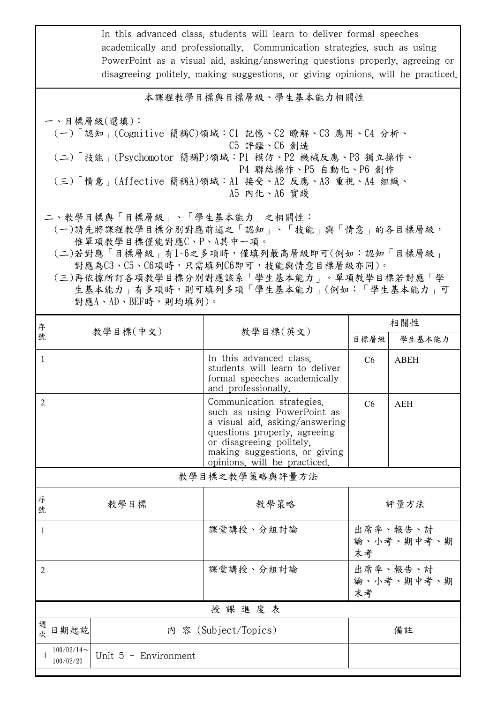|                                                                                                                                                                                                                                                                                                       |                            |                        | In this advanced class, students will learn to deliver formal speeches<br>academically and professionally. Communication strategies, such as using<br>PowerPoint as a visual aid, asking/answering questions properly, agreeing or<br>disagreeing politely, making suggestions, or giving opinions, will be practiced. |                              |             |  |  |
|-------------------------------------------------------------------------------------------------------------------------------------------------------------------------------------------------------------------------------------------------------------------------------------------------------|----------------------------|------------------------|------------------------------------------------------------------------------------------------------------------------------------------------------------------------------------------------------------------------------------------------------------------------------------------------------------------------|------------------------------|-------------|--|--|
| 本課程教學目標與目標層級、學生基本能力相關性                                                                                                                                                                                                                                                                                |                            |                        |                                                                                                                                                                                                                                                                                                                        |                              |             |  |  |
| 一、目標層級(選填):<br>(一)「認知」(Cognitive 簡稱C)領域:C1 記憶、C2 瞭解、C3 應用、C4 分析、<br>C5 評鑑、C6 創造<br>(二)「技能」(Psychomotor 簡稱P)領域:P1 模仿、P2 機械反應、P3 獨立操作、<br>P4 聯結操作、P5 自動化、P6 創作<br>(三)「情意」(Affective 簡稱A)領域:A1 接受、A2 反應、A3 重視、A4 組織、<br>A5 内化、A6 實踐                                                                      |                            |                        |                                                                                                                                                                                                                                                                                                                        |                              |             |  |  |
| 二、教學目標與「目標層級」、「學生基本能力」之相關性:<br>(一)請先將課程教學目標分別對應前述之「認知」、「技能」與「情意」的各目標層級,<br>惟單項教學目標僅能對應C、P、A其中一項。<br>(二)若對應「目標層級」有1~6之多項時,僅填列最高層級即可(例如:認知「目標層級」<br>對應為C3、C5、C6項時,只需填列C6即可,技能與情意目標層級亦同)。<br>(三)再依據所訂各項教學目標分別對應該系「學生基本能力」。單項教學目標若對應「學<br>生基本能力   有多項時, 則可填列多項「學生基本能力」(例如:「學生基本能力」可<br>對應A、AD、BEF時,則均填列)。 |                            |                        |                                                                                                                                                                                                                                                                                                                        |                              |             |  |  |
| 序<br>號                                                                                                                                                                                                                                                                                                | 教學目標(中文)                   | 教學目標(英文)               |                                                                                                                                                                                                                                                                                                                        | 相關性                          |             |  |  |
|                                                                                                                                                                                                                                                                                                       |                            |                        |                                                                                                                                                                                                                                                                                                                        | 目標層級                         | 學生基本能力      |  |  |
| $\mathbf{1}$                                                                                                                                                                                                                                                                                          |                            |                        | In this advanced class,<br>students will learn to deliver<br>formal speeches academically<br>and professionally.                                                                                                                                                                                                       | C6                           | <b>ABEH</b> |  |  |
| $\sqrt{2}$                                                                                                                                                                                                                                                                                            |                            |                        | Communication strategies,<br>such as using PowerPoint as<br>a visual aid, asking/answering<br>questions properly, agreeing<br>or disagreeing politely.<br>making suggestions, or giving<br>opinions, will be practiced.                                                                                                | C6                           | <b>AEH</b>  |  |  |
| 教學目標之教學策略與評量方法                                                                                                                                                                                                                                                                                        |                            |                        |                                                                                                                                                                                                                                                                                                                        |                              |             |  |  |
| 序<br>號                                                                                                                                                                                                                                                                                                |                            | 教學目標                   | 教學策略                                                                                                                                                                                                                                                                                                                   | 評量方法                         |             |  |  |
| 1                                                                                                                                                                                                                                                                                                     |                            |                        | 課堂講授、分組討論                                                                                                                                                                                                                                                                                                              | 出席率、報告、討<br>論、小考、期中考、期<br>末考 |             |  |  |
| 2                                                                                                                                                                                                                                                                                                     |                            |                        | 課堂講授、分組討論                                                                                                                                                                                                                                                                                                              | 出席率、報告、討<br>論、小考、期中考、期<br>末考 |             |  |  |
| 授課進度表                                                                                                                                                                                                                                                                                                 |                            |                        |                                                                                                                                                                                                                                                                                                                        |                              |             |  |  |
| 週<br>次                                                                                                                                                                                                                                                                                                | 日期起訖                       |                        | 內 容 (Subject/Topics)                                                                                                                                                                                                                                                                                                   | 備註                           |             |  |  |
|                                                                                                                                                                                                                                                                                                       | $100/02/14$ ~<br>100/02/20 | Unit $5$ - Environment |                                                                                                                                                                                                                                                                                                                        |                              |             |  |  |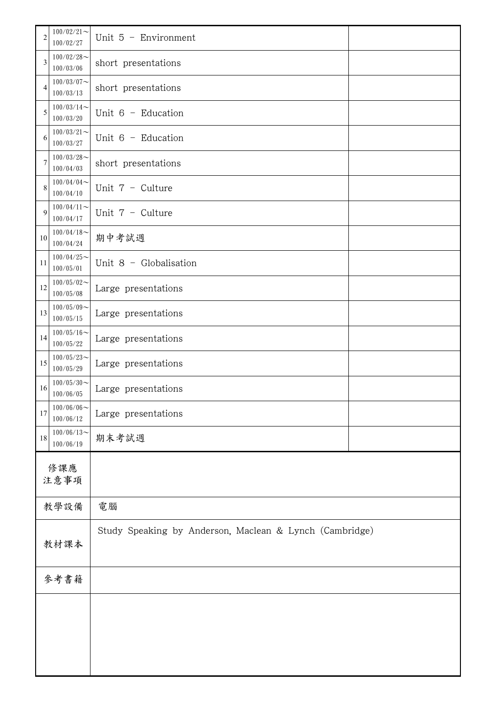| $\overline{c}$ | $100/02/21$ ~<br>100/02/27 | Unit $5$ - Environment                                  |  |  |
|----------------|----------------------------|---------------------------------------------------------|--|--|
| 3              | $100/02/28$ ~<br>100/03/06 | short presentations                                     |  |  |
| $\overline{4}$ | $100/03/07$ ~<br>100/03/13 | short presentations                                     |  |  |
| 5              | $100/03/14$ ~<br>100/03/20 | Unit $6$ - Education                                    |  |  |
| 6              | $100/03/21$ ~<br>100/03/27 | Unit $6$ - Education                                    |  |  |
| 7              | $100/03/28$ ~<br>100/04/03 | short presentations                                     |  |  |
| 8              | $100/04/04$ ~<br>100/04/10 | Unit 7 - Culture                                        |  |  |
| 9              | $100/04/11$ ~<br>100/04/17 | Unit $7 -$ Culture                                      |  |  |
| 10             | $100/04/18$ ~<br>100/04/24 | 期中考試週                                                   |  |  |
| 11             | $100/04/25$ ~<br>100/05/01 | Unit $8 -$ Globalisation                                |  |  |
| 12             | $100/05/02$ ~<br>100/05/08 | Large presentations                                     |  |  |
| 13             | $100/05/09$ ~<br>100/05/15 | Large presentations                                     |  |  |
| 14             | $100/05/16$ ~<br>100/05/22 | Large presentations                                     |  |  |
| 15             | $100/05/23$ ~<br>100/05/29 | Large presentations                                     |  |  |
| 16             | $100/05/30$ ~<br>100/06/05 | Large presentations                                     |  |  |
| 17             | $100/06/06$ ~<br>100/06/12 | Large presentations                                     |  |  |
| 18             | $100/06/13$ ~<br>100/06/19 | 期末考試週                                                   |  |  |
|                | 修課應<br>注意事項                |                                                         |  |  |
|                | 教學設備                       | 電腦                                                      |  |  |
| 教材課本           |                            | Study Speaking by Anderson, Maclean & Lynch (Cambridge) |  |  |
| 參考書籍           |                            |                                                         |  |  |
|                |                            |                                                         |  |  |
|                |                            |                                                         |  |  |
|                |                            |                                                         |  |  |